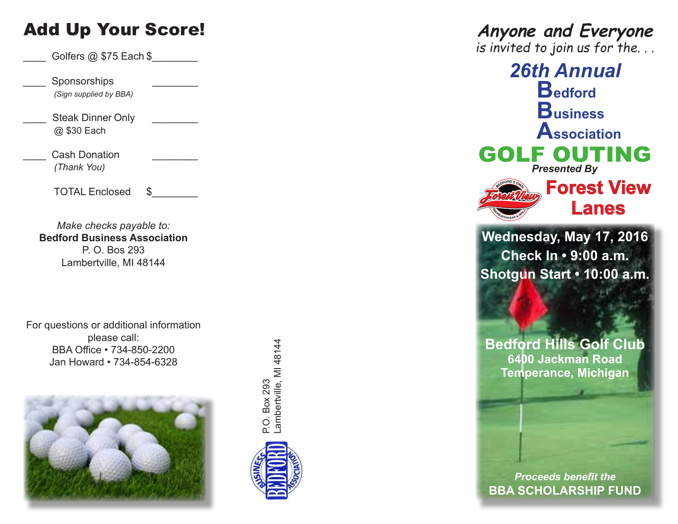# Add Up Your Score!

Golfers  $@$  \$75 Each  $\$$ 

\_\_\_\_ Sponsorships *\_\_\_\_\_\_\_\_ (Sign supplied by BBA)* 

Steak Dinner Only @ \$30 Each

Cash Donation *(Thank You)*

TOTAL Enclosed \$

*Make checks payable to:* **Bedford Business Association** P. O. Bos 293 Lambertville, MI 48144

For questions or additional information please call: BBA Office • 734-850-2200 Jan Howard • 734-854-6328





# **Anyone and Everyone**

is invited to join us for the. . .

*26th Annual* **Bedford Business Association** GOLF OUTING *Presented By* **Forest View Lanes**

**Wednesday, May 17, 2016 Check In • 9:00 a.m. Shotgun Start • 10:00 a.m.**

**Bedford Hills Golf Club 6400 Jackman Road Temperance, Michigan**

*Proceeds benefit the* **BBA SCHOLARSHIP FUND**